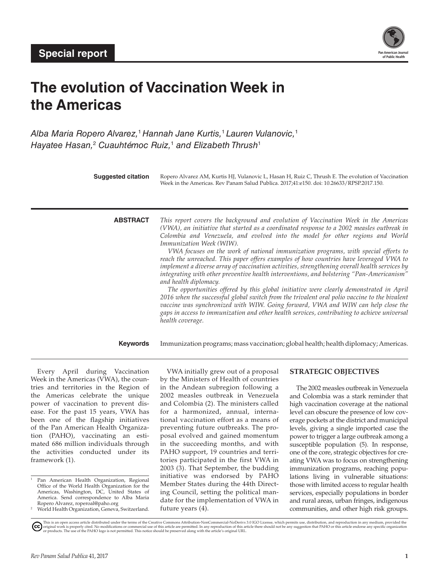

# **The evolution of Vaccination Week in the Americas**

*Alba Maria Ropero Alvarez,*<sup>1</sup> *Hannah Jane Kurtis,*<sup>1</sup> *Lauren Vulanovic,*<sup>1</sup> *Hayatee Hasan,*<sup>2</sup>  *Cuauhtémoc Ruiz,*<sup>1</sup>  *and Elizabeth Thrush*<sup>1</sup>

| <b>Suggested citation</b> |                 | Ropero Alvarez AM, Kurtis HJ, Vulanovic L, Hasan H, Ruiz C, Thrush E. The evolution of Vaccination<br>Week in the Americas. Rev Panam Salud Publica. 2017;41:e150. doi: 10.26633/RPSP.2017.150.                                                                                                                                                                                                                                                                                                                                                                                                                                                                                                                                                                                                                                                                                                                                                                                                                                                                                                              |
|---------------------------|-----------------|--------------------------------------------------------------------------------------------------------------------------------------------------------------------------------------------------------------------------------------------------------------------------------------------------------------------------------------------------------------------------------------------------------------------------------------------------------------------------------------------------------------------------------------------------------------------------------------------------------------------------------------------------------------------------------------------------------------------------------------------------------------------------------------------------------------------------------------------------------------------------------------------------------------------------------------------------------------------------------------------------------------------------------------------------------------------------------------------------------------|
|                           | <b>ABSTRACT</b> | This report covers the background and evolution of Vaccination Week in the Americas<br>(VWA), an initiative that started as a coordinated response to a 2002 measles outbreak in<br>Colombia and Venezuela, and evolved into the model for other regions and World<br><i>Immunization Week (WIW).</i><br>VWA focuses on the work of national immunization programs, with special efforts to<br>reach the unreached. This paper offers examples of how countries have leveraged VWA to<br>implement a diverse array of vaccination activities, strengthening overall health services by<br>integrating with other preventive health interventions, and bolstering "Pan-Americanism"<br>and health diplomacy.<br>The opportunities offered by this global initiative were clearly demonstrated in April<br>2016 when the successful global switch from the trivalent oral polio vaccine to the bivalent<br>vaccine was synchronized with WIW. Going forward, VWA and WIW can help close the<br>gaps in access to immunization and other health services, contributing to achieve universal<br>health coverage. |
|                           | <b>Keywords</b> | Immunization programs; mass vaccination; global health; health diplomacy; Americas.                                                                                                                                                                                                                                                                                                                                                                                                                                                                                                                                                                                                                                                                                                                                                                                                                                                                                                                                                                                                                          |

Every April during Vaccination Week in the Americas (VWA), the countries and territories in the Region of the Americas celebrate the unique power of vaccination to prevent disease. For the past 15 years, VWA has been one of the flagship initiatives of the Pan American Health Organization (PAHO), vaccinating an estimated 686 million individuals through the activities conducted under its framework (1).

World Health Organization, Geneva, Switzerland.

VWA initially grew out of a proposal by the Ministers of Health of countries in the Andean subregion following a 2002 measles outbreak in Venezuela and Colombia (2). The ministers called for a harmonized, annual, international vaccination effort as a means of preventing future outbreaks. The proposal evolved and gained momentum in the succeeding months, and with PAHO support, 19 countries and territories participated in the first VWA in 2003 (3). That September, the budding initiative was endorsed by PAHO Member States during the 44th Directing Council, setting the political mandate for the implementation of VWA in future years (4).

# **STRATEGIC OBJECTIVES**

The 2002 measles outbreak in Venezuela and Colombia was a stark reminder that high vaccination coverage at the national level can obscure the presence of low coverage pockets at the district and municipal levels, giving a single imported case the power to trigger a large outbreak among a susceptible population (5). In response, one of the core, strategic objectives for creating VWA was to focus on strengthening immunization programs, reaching populations living in vulnerable situations: those with limited access to regular health services, especially populations in border and rural areas, urban fringes, indigenous communities, and other high risk groups.

Pan American Health Organization, Regional Office of the World Health Organization for the Americas, Washington, DC, United States of America. Send correspondence to Alba Maria Ropero Alvarez, [roperoal@paho.org](mailto:roperoal@paho.org)

This is an open access article distributed under the terms of the [Creative Commons Attribution-NonCommercial-NoDerivs 3.0 IGO License,](https://creativecommons.org/licenses/by-nc-nd/3.0/igo/legalcode) which permits use, distribution, and reproduction in any medium, provided the<br>orignal w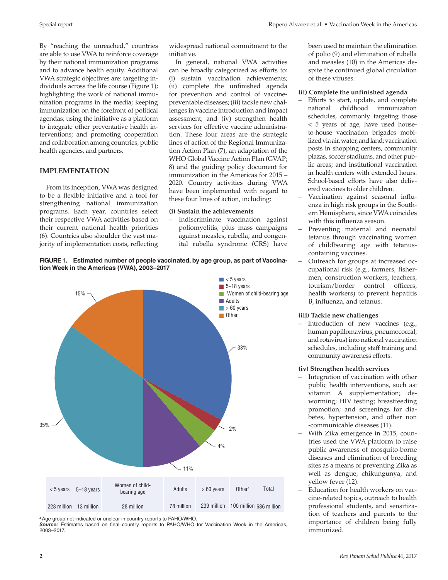By "reaching the unreached," countries are able to use VWA to reinforce coverage by their national immunization programs and to advance health equity. Additional VWA strategic objectives are: targeting individuals across the life course (Figure 1); highlighting the work of national immunization programs in the media; keeping immunization on the forefront of political agendas; using the initiative as a platform to integrate other preventative health interventions; and promoting cooperation and collaboration among countries, public health agencies, and partners.

## **IMPLEMENTATION**

From its inception, VWA was designed to be a flexible initiative and a tool for strengthening national immunization programs. Each year, countries select their respective VWA activities based on their current national health priorities (6). Countries also shoulder the vast majority of implementation costs, reflecting

widespread national commitment to the initiative.

In general, national VWA activities can be broadly categorized as efforts to: (i) sustain vaccination achievements; (ii) complete the unfinished agenda for prevention and control of vaccinepreventable diseases; (iii) tackle new challenges in vaccine introduction and impact assessment; and (iv) strengthen health services for effective vaccine administration. These four areas are the strategic lines of action of the Regional Immunization Action Plan (7), an adaptation of the WHO Global Vaccine Action Plan (GVAP; 8) and the guiding policy document for immunization in the Americas for 2015 – 2020. Country activities during VWA have been implemented with regard to these four lines of action, including:

#### **(i) Sustain the achievements**

– Indiscriminate vaccination against poliomyelitis, plus mass campaigns against measles, rubella, and congenital rubella syndrome (CRS) have been used to maintain the elimination of polio (9) and elimination of rubella and measles (10) in the Americas despite the continued global circulation of these viruses.

#### **(ii) Complete the unfinished agenda**

- Efforts to start, update, and complete national childhood immunization schedules, commonly targeting those < 5 years of age, have used houseto-house vaccination brigades mobilized via air, water, and land; vaccination posts in shopping centers, community plazas, soccer stadiums, and other public areas; and institutional vaccination in health centers with extended hours. School-based efforts have also delivered vaccines to older children.
- Vaccination against seasonal influenza in high risk groups in the Southern Hemisphere, since VWA coincides with this influenza season.
- Preventing maternal and neonatal tetanus through vaccinating women of childbearing age with tetanuscontaining vaccines.
- Outreach for groups at increased occupational risk (e.g., farmers, fishermen, construction workers, teachers, tourism/border control officers, health workers) to prevent hepatitis B, influenza, and tetanus.

#### **(iii) Tackle new challenges**

Introduction of new vaccines (e.g., human papillomavirus, pneumococcal, and rotavirus) into national vaccination schedules, including staff training and community awareness efforts.

## **(iv) Strengthen health services**

- Integration of vaccination with other public health interventions, such as: vitamin A supplementation; deworming; HIV testing; breastfeeding promotion; and screenings for diabetes, hypertension, and other non -communicable diseases (11).
- With Zika emergence in 2015, countries used the VWA platform to raise public awareness of mosquito-borne diseases and elimination of breeding sites as a means of preventing Zika as well as dengue, chikungunya, and yellow fever (12).
- Education for health workers on vaccine-related topics, outreach to health professional students, and sensitization of teachers and parents to the importance of children being fully immunized.

**FIGURE 1. Estimated number of people vaccinated, by age group, as part of Vaccination Week in the Americas (VWA), 2003–2017**



*<sup>a</sup>*Age group not indicated or unclear in country reports to PAHO/WHO.

*Source:* Estimates based on final country reports to PAHO/WHO for Vaccination Week in the Americas, 2003–2017.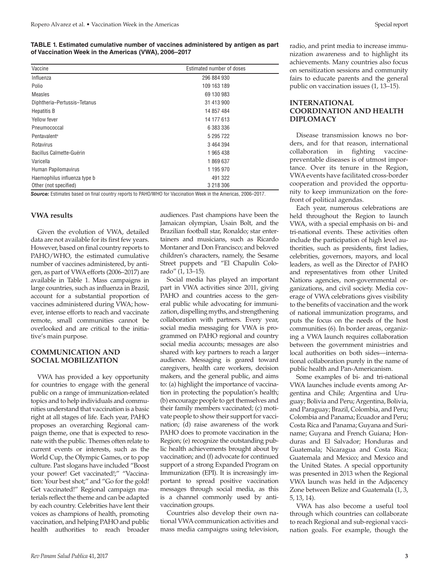**TABLE 1. Estimated cumulative number of vaccines administered by antigen as part of Vaccination Week in the Americas (VWA), 2006–2017**

| Vaccine                      | Estimated number of doses |
|------------------------------|---------------------------|
| Influenza                    | 296 884 930               |
| Polio                        | 109 163 189               |
| <b>Measles</b>               | 69 130 983                |
| Diphtheria-Pertussis-Tetanus | 31 413 900                |
| <b>Hepatitis B</b>           | 14 857 484                |
| Yellow fever                 | 14 177 613                |
| Pneumococcal                 | 6 383 336                 |
| Pentavalent <sup>a</sup>     | 5 295 722                 |
| Rotavirus                    | 3 464 394                 |
| Bacillus Calmette-Guérin     | 1 965 438                 |
| Varicella                    | 1869637                   |
| Human Papilomavirus          | 1 195 970                 |
| Haemophilus influenza type b | 491 322                   |
| Other (not specified)        | 3 218 306                 |

*Source:* Estimates based on final country reports to PAHO/WHO for Vaccination Week in the Americas, 2006–2017.

## **VWA results**

Given the evolution of VWA, detailed data are not available for its first few years. However, based on final country reports to PAHO/WHO, the estimated cumulative number of vaccines administered, by antigen, as part of VWA efforts (2006–2017) are available in Table 1. Mass campaigns in large countries, such as influenza in Brazil, account for a substantial proportion of vaccines administered during VWA; however, intense efforts to reach and vaccinate remote, small communities cannot be overlooked and are critical to the initiative's main purpose.

## **COMMUNICATION AND SOCIAL MOBILIZATION**

VWA has provided a key opportunity for countries to engage with the general public on a range of immunization-related topics and to help individuals and communities understand that vaccination is a basic right at all stages of life. Each year, PAHO proposes an overarching Regional campaign theme, one that is expected to resonate with the public. Themes often relate to current events or interests, such as the World Cup, the Olympic Games, or to pop culture. Past slogans have included "Boost your power! Get vaccinated!;" "Vaccination: Your best shot;" and "Go for the gold! Get vaccinated!" Regional campaign materials reflect the theme and can be adapted by each country. Celebrities have lent their voices as champions of health, promoting vaccination, and helping PAHO and public health authorities to reach broader

audiences. Past champions have been the Jamaican olympian, Usain Bolt, and the Brazilian football star, Ronaldo; star entertainers and musicians, such as Ricardo Montaner and Don Francisco; and beloved children's characters, namely, the Sesame Street puppets and "El Chapulín Colorado" (1, 13–15).

Social media has played an important part in VWA activities since 2011, giving PAHO and countries access to the general public while advocating for immunization, dispelling myths, and strengthening collaboration with partners. Every year, social media messaging for VWA is programmed on PAHO regional and country social media accounts; messages are also shared with key partners to reach a larger audience. Messaging is geared toward caregivers, health care workers, decision makers, and the general public, and aims to: (a) highlight the importance of vaccination in protecting the population's health; (b) encourage people to get themselves and their family members vaccinated; (c) motivate people to show their support for vaccination; (d) raise awareness of the work PAHO does to promote vaccination in the Region; (e) recognize the outstanding public health achievements brought about by vaccination; and (f) advocate for continued support of a strong Expanded Program on Immunization (EPI). It is increasingly important to spread positive vaccination messages through social media, as this is a channel commonly used by antivaccination groups.

Countries also develop their own national VWA communication activities and mass media campaigns using television, radio, and print media to increase immunization awareness and to highlight its achievements. Many countries also focus on sensitization sessions and community fairs to educate parents and the general public on vaccination issues (1, 13–15).

## **INTERNATIONAL COORDINATION AND HEALTH DIPLOMACY**

Disease transmission knows no borders, and for that reason, international collaboration in fighting vaccinepreventable diseases is of utmost importance. Over its tenure in the Region, VWA events have facilitated cross-border cooperation and provided the opportunity to keep immunization on the forefront of political agendas.

Each year, numerous celebrations are held throughout the Region to launch VWA, with a special emphasis on bi- and tri-national events. These activities often include the participation of high level authorities, such as presidents, first ladies, celebrities, governors, mayors, and local leaders, as well as the Director of PAHO and representatives from other United Nations agencies, non-governmental organizations, and civil society. Media coverage of VWA celebrations gives visibility to the benefits of vaccination and the work of national immunization programs, and puts the focus on the needs of the host communities (6). In border areas, organizing a VWA launch requires collaboration between the government ministries and local authorities on both sides—international collaboration purely in the name of public health and Pan-Americanism.

Some examples of bi- and tri-national VWA launches include events among Argentina and Chile; Argentina and Uruguay; Bolivia and Peru; Argentina, Bolivia, and Paraguay; Brazil, Colombia, and Peru; Colombia and Panama; Ecuador and Peru; Costa Rica and Panama; Guyana and Suriname; Guyana and French Guiana; Honduras and El Salvador; Honduras and Guatemala; Nicaragua and Costa Rica; Guatemala and Mexico; and Mexico and the United States. A special opportunity was presented in 2013 when the Regional VWA launch was held in the Adjacency Zone between Belize and Guatemala (1, 3, 5, 13, 14).

VWA has also become a useful tool through which countries can collaborate to reach Regional and sub-regional vaccination goals. For example, though the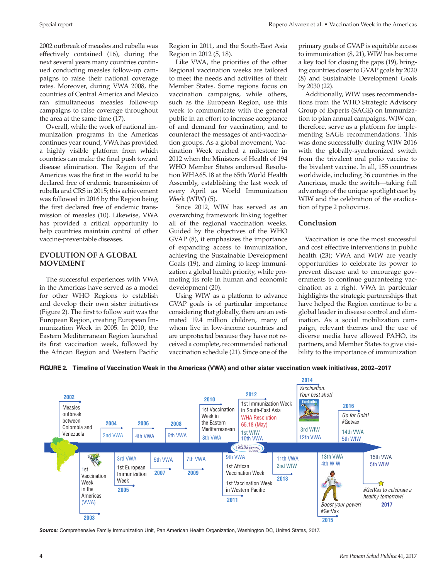2002 outbreak of measles and rubella was effectively contained (16), during the next several years many countries continued conducting measles follow-up campaigns to raise their national coverage rates. Moreover, during VWA 2008, the countries of Central America and Mexico ran simultaneous measles follow-up campaigns to raise coverage throughout the area at the same time (17).

Overall, while the work of national immunization programs in the Americas continues year round, VWA has provided a highly visible platform from which countries can make the final push toward disease elimination. The Region of the Americas was the first in the world to be declared free of endemic transmission of rubella and CRS in 2015; this achievement was followed in 2016 by the Region being the first declared free of endemic transmission of measles (10). Likewise, VWA has provided a critical opportunity to help countries maintain control of other vaccine-preventable diseases.

## **EVOLUTION OF A GLOBAL MOVEMENT**

The successful experiences with VWA in the Americas have served as a model for other WHO Regions to establish and develop their own sister initiatives (Figure 2). The first to follow suit was the European Region, creating European Immunization Week in 2005. In 2010, the Eastern Mediterranean Region launched its first vaccination week, followed by the African Region and Western Pacific Region in 2011, and the South-East Asia Region in 2012 (5, 18).

Like VWA, the priorities of the other Regional vaccination weeks are tailored to meet the needs and activities of their Member States. Some regions focus on vaccination campaigns, while others, such as the European Region, use this week to communicate with the general public in an effort to increase acceptance of and demand for vaccination, and to counteract the messages of anti-vaccination groups. As a global movement, Vaccination Week reached a milestone in 2012 when the Ministers of Health of 194 WHO Member States endorsed Resolution WHA65.18 at the 65th World Health Assembly, establishing the last week of every April as World Immunization Week (WIW) (5).

Since 2012, WIW has served as an overarching framework linking together all of the regional vaccination weeks. Guided by the objectives of the WHO GVAP (8), it emphasizes the importance of expanding access to immunization, achieving the Sustainable Development Goals (19), and aiming to keep immunization a global health priority, while promoting its role in human and economic development (20).

Using WIW as a platform to advance GVAP goals is of particular importance considering that globally, there are an estimated 19.4 million children, many of whom live in low-income countries and are unprotected because they have not received a complete, recommended national vaccination schedule (21). Since one of the

primary goals of GVAP is equitable access to immunization (8, 21), WIW has become a key tool for closing the gaps (19), bringing countries closer to GVAP goals by 2020 (8) and Sustainable Development Goals by 2030 (22).

Additionally, WIW uses recommendations from the WHO Strategic Advisory Group of Experts (SAGE) on Immunization to plan annual campaigns. WIW can, therefore, serve as a platform for implementing SAGE recommendations. This was done successfully during WIW 2016 with the globally-synchronized switch from the trivalent oral polio vaccine to the bivalent vaccine. In all, 155 countries worldwide, including 36 countries in the Americas, made the switch—taking full advantage of the unique spotlight cast by WIW and the celebration of the eradication of type 2 poliovirus.

# **Conclusion**

Vaccination is one the most successful and cost effective interventions in public health (23); VWA and WIW are yearly opportunities to celebrate its power to prevent disease and to encourage governments to continue guaranteeing vaccination as a right. VWA in particular highlights the strategic partnerships that have helped the Region continue to be a global leader in disease control and elimination. As a social mobilization campaign, relevant themes and the use of diverse media have allowed PAHO, its partners, and Member States to give visibility to the importance of immunization



*Source:* Comprehensive Family Immunization Unit, Pan American Health Organization, Washington DC, United States, 2017.

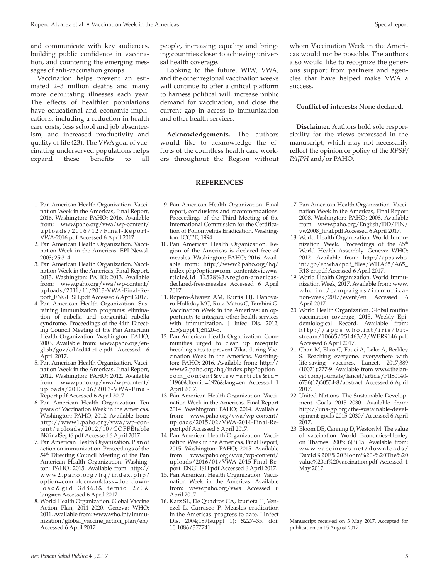and communicate with key audiences, building public confidence in vaccination, and countering the emerging messages of anti-vaccination groups.

Vaccination helps prevent an estimated 2–3 million deaths and many more debilitating illnesses each year. The effects of healthier populations have educational and economic implications, including a reduction in health care costs, less school and job absenteeism, and increased productivity and quality of life (23). The VWA goal of vaccinating underserved populations helps expand these benefits to all

- 1. Pan American Health Organization. Vaccination Week in the Americas, Final Report, 2016. Washington: PAHO; 2016. Available from: [www.paho.org/vwa/wp-content/](www.paho.org/vwa/wp-content/uploads/2016/12/Final-Report-VWA-2016.pdf) [uploads/2016/12/Final-Report-](www.paho.org/vwa/wp-content/uploads/2016/12/Final-Report-VWA-2016.pdf)[VWA-2016.pdf](www.paho.org/vwa/wp-content/uploads/2016/12/Final-Report-VWA-2016.pdf) Accessed 6 April 2017.
- 2. Pan American Health Organization. Vaccination Week in the Americas. EPI Newsl. 2003; 25:3–4.
- 3. Pan American Health Organization. Vaccination Week in the Americas, Final Report, 2013. Washington: PAHO; 2013. Available from: [www.paho.org/vwa/wp-content/](www.paho.org/vwa/wp-content/uploads/2011/11/2013-VWA-Final-Report_ENGLISH.pdf) [uploads/2011/11/2013-VWA-Final-Re](www.paho.org/vwa/wp-content/uploads/2011/11/2013-VWA-Final-Report_ENGLISH.pdf)[port\\_ENGLISH.pdf](www.paho.org/vwa/wp-content/uploads/2011/11/2013-VWA-Final-Report_ENGLISH.pdf) Accessed 6 April 2017.
- 4. Pan American Health Organization. Sustaining immunization programs: elimination of rubella and congenital rubella syndrome. Proceedings of the 44th Directing Council Meeting of the Pan American Health Organization. Washington: PAHO; 2003. Available from: [www.paho.org/en](www.paho.org/english/gov/cd/cd44-r1-e.pdf)[glish/gov/cd/cd44-r1-e.pdf](www.paho.org/english/gov/cd/cd44-r1-e.pdf) Accessed 6 April 2017.
- 5. Pan American Health Organization. Vaccination Week in the Americas, Final Report, 2012. Washington: PAHO; 2012. Available from: [www.paho.org/vwa/wp-content/](www.paho.org/vwa/wp-content/uploads/2013/06/2013-VWA-Final-Report.pdf) [uploads/2013/06/2013-VWA-Final-](www.paho.org/vwa/wp-content/uploads/2013/06/2013-VWA-Final-Report.pdf)[Report.pdf](www.paho.org/vwa/wp-content/uploads/2013/06/2013-VWA-Final-Report.pdf) Accessed 6 April 2017.
- 6. Pan American Health Organization. Ten years of Vaccination Week in the Americas. Washington: PAHO; 2012. Available from: [http://www1.paho.org/vwa/wp-con](http://www1.paho.org/vwa/wp-content/uploads/2012/10/COFFEtableBKfinalSept6.pdf)[tent/uploads/2012/10/COFFEtable](http://www1.paho.org/vwa/wp-content/uploads/2012/10/COFFEtableBKfinalSept6.pdf) [BKfinalSept6.pdf](http://www1.paho.org/vwa/wp-content/uploads/2012/10/COFFEtableBKfinalSept6.pdf) Accessed 6 April 2017.
- 7. Pan American Health Organization. Plan of action on immunization. Proceedings of the 54th Directing Council Meeting of the Pan American Health Organization. Washington: PAHO; 2015. Available from: [http://](http://www2.paho.org/hq/index.php?option=com_docman&task=doc_download&gid=38863&Itemid=270&lang=en) [www2.paho.org/hq/index.php?](http://www2.paho.org/hq/index.php?option=com_docman&task=doc_download&gid=38863&Itemid=270&lang=en) [option=com\\_docman&task=doc\\_down](http://www2.paho.org/hq/index.php?option=com_docman&task=doc_download&gid=38863&Itemid=270&lang=en)[load&gid=38863&Itemid=270&](http://www2.paho.org/hq/index.php?option=com_docman&task=doc_download&gid=38863&Itemid=270&lang=en) [lang=en](http://www2.paho.org/hq/index.php?option=com_docman&task=doc_download&gid=38863&Itemid=270&lang=en) Accessed 6 April 2017.
- 8. World Health Organization. Global Vaccine Action Plan, 2011–2020. Geneva: WHO; 2011. Available from: [www.who.int/immu](www.who.int/immunization/global_vaccine_action_plan/en/)[nization/global\\_vaccine\\_action\\_plan/en/](www.who.int/immunization/global_vaccine_action_plan/en/) Accessed 6 April 2017.

people, increasing equality and bringing countries closer to achieving universal health coverage.

Looking to the future, WIW, VWA, and the other regional vaccination weeks will continue to offer a critical platform to harness political will, increase public demand for vaccination, and close the current gap in access to immunization and other health services.

**Acknowledgements.** The authors would like to acknowledge the efforts of the countless health care workers throughout the Region without

#### **REFERENCES**

- 9. Pan American Health Organization. Final report, conclusions and recommendations. Proceedings of the Third Meeting of the International Commission for the Certification of Poliomyelitis Eradication. Washington: ICCPE; 1994.
- 10. Pan American Health Organization. Region of the Americas is declared free of measles. Washington; PAHO; 2016. Available from: [http://www2.paho.org/hq/](http://www2.paho.org/hq/index.php?option=com_content&view=article&id=12528%3Aregion-americas-declared-free-measles) [index.php?option=com\\_content&view=a](http://www2.paho.org/hq/index.php?option=com_content&view=article&id=12528%3Aregion-americas-declared-free-measles)[rticle&id=12528%3Aregion-americas](http://www2.paho.org/hq/index.php?option=com_content&view=article&id=12528%3Aregion-americas-declared-free-measles)[declared-free-measles](http://www2.paho.org/hq/index.php?option=com_content&view=article&id=12528%3Aregion-americas-declared-free-measles) Accessed 6 April 2017.
- 11. Ropero-Álvarez AM, Kurtis HJ, Danovaro-Holliday MC, Ruiz-Matus C, Tambini G. Vaccination Week in the Americas: an opportunity to integrate other health services with immunization. J Infec Dis. 2012; 205(suppl 1):S120–5.
- 12. Pan American Health Organization. Communities urged to clean up mosquito breeding sites to prevent Zika, during Vaccination Week in the Americas. Washington: PAHO; 2016. Available from: [http://](http://www2.paho.org/hq/index.php?option=com_content&view=article&id=11960&Itemid=1926&lang=en) [www2.paho.org/hq/index.php?option=](http://www2.paho.org/hq/index.php?option=com_content&view=article&id=11960&Itemid=1926&lang=en) [com\\_content&view=article&id=](http://www2.paho.org/hq/index.php?option=com_content&view=article&id=11960&Itemid=1926&lang=en) [11960&Itemid=1926&lang=en](http://www2.paho.org/hq/index.php?option=com_content&view=article&id=11960&Itemid=1926&lang=en) Accessed 1 April 2017.
- 13. Pan American Health Organization. Vaccination Week in the Americas, Final Report 2014. Washington: PAHO; 2014. Available from: [www.paho.org/vwa/wp-content/](www.paho.org/vwa/wp-content/uploads/2015/02/VWA-2014-Final-Report.pdf) [uploads/2015/02/VWA-2014-Final-Re](www.paho.org/vwa/wp-content/uploads/2015/02/VWA-2014-Final-Report.pdf)[port.pdf](www.paho.org/vwa/wp-content/uploads/2015/02/VWA-2014-Final-Report.pdf) Accessed 6 April 2017.
- 14. Pan American Health Organization. Vaccination Week in the Americas, Final Report, 2015. Washington: PAHO; 2015. Available from [www.paho.org/vwa/wp-content/](www.paho.org/vwa/wp-content/uploads/2016/01/VWA-2015-Final-Report_ENGLISH.pdf) [uploads/2016/01/VWA-2015-Final-Re](www.paho.org/vwa/wp-content/uploads/2016/01/VWA-2015-Final-Report_ENGLISH.pdf)[port\\_ENGLISH.pdf](www.paho.org/vwa/wp-content/uploads/2016/01/VWA-2015-Final-Report_ENGLISH.pdf) Accessed 6 April 2017.
- 15. Pan American Health Organization. Vaccination Week in the Americas. Available from: <www.paho.org/vwa> Accessed 6 April 2017.
- 16. Katz SL, De Quadros CA, Izurieta H, Venczel L, Carrasco P. Measles eradication in the Americas: progress to date*.* J Infect Dis. 2004;189(suppl 1): S227-35. doi: 10.1086/377741.

whom Vaccination Week in the Americas would not be possible. The authors also would like to recognize the generous support from partners and agencies that have helped make VWA a success.

#### **Conflict of interests:** None declared.

**Disclaimer.** Authors hold sole responsibility for the views expressed in the manuscript, which may not necessarily reflect the opinion or policy of the *RPSP/ PAJPH* and/or PAHO.

- 17. Pan American Health Organization. Vaccination Week in the Americas, Final Report 2008. Washington: PAHO; 2008. Available from: [www.paho.org/English/DD/PIN/](www.paho.org/English/DD/PIN/vw2008_final.pdf) [vw2008\\_final.pdf](www.paho.org/English/DD/PIN/vw2008_final.pdf) Accessed 6 April 2017.
- 18. World Health Organization. World Immunization Week. Proceedings of the 65<sup>th</sup> World Health Assembly. Geneva: WHO; 2012. Available from: [http://apps.who.](http://apps.who.int/gb/ebwha/pdf_files/WHA65/A65_R18-en.pdf) [int/gb/ebwha/pdf\\_files/WHA65/A65\\_](http://apps.who.int/gb/ebwha/pdf_files/WHA65/A65_R18-en.pdf) [R18-en.pdf](http://apps.who.int/gb/ebwha/pdf_files/WHA65/A65_R18-en.pdf) Accessed 6 April 2017.
- 19. World Health Organization. World Immunization Week, 2017. Available from: [www.](www.who.int/campaigns/immunization-week/2017/event/en) [who.int/campaigns/immuniza](www.who.int/campaigns/immunization-week/2017/event/en) [tion-week/2017/event/en](www.who.int/campaigns/immunization-week/2017/event/en) Accessed 6 April 2017.
- 20. World Health Organization. Global routine vaccination coverage, 2015. Weekly Epidemiological Record. Available from: [http://apps.who.int/iris/bit](http://apps.who.int/iris/bitstream/10665/251463/2/WER9146.pdf) [stream/10665/251463/2/WER9146.pdf](http://apps.who.int/iris/bitstream/10665/251463/2/WER9146.pdf) Accessed 6 April 2017.
- 21. Chan M, Elias C, Fauci A, Lake A, Berkley S. Reaching everyone, everywhere with life-saving vaccines. Lancet. 2017;389 (10071):777-9. Available from [www.thelan](www.thelancet.com/journals/lancet/article/PIIS0140-6736(17)30554-8/abstract)[cet.com/journals/lancet/article/PIIS0140-](www.thelancet.com/journals/lancet/article/PIIS0140-6736(17)30554-8/abstract) [6736\(17\)30554-8/abstract.](www.thelancet.com/journals/lancet/article/PIIS0140-6736(17)30554-8/abstract) Accessed 6 April 2017.
- 22. United Nations. The Sustainable Development Goals 2015–2030. Available from: [http://una-gp.org/the-sustainable-devel](http://una-gp.org/the-sustainable-development-goals-2015-2030/)[opment-goals-2015-2030/](http://una-gp.org/the-sustainable-development-goals-2015-2030/) Accessed 6 April 2017.
- 23. Bloom DE, Canning D, Weston M. The value of vaccination. World Economics–Henley on Thames. 2005; 6(3):15. Available from: [www.vaccinews.net/downloads/](www.vaccinews.net/downloads/David%20E%20Bloom%20-%20The%20value%20of%20vaccination.pdf) [David%20E%20Bloom%20-%20The%20](www.vaccinews.net/downloads/David%20E%20Bloom%20-%20The%20value%20of%20vaccination.pdf) [value%20of%20vaccination.pdf](www.vaccinews.net/downloads/David%20E%20Bloom%20-%20The%20value%20of%20vaccination.pdf) Accessed 1 May 2017.

Manuscript received on 3 May 2017. Accepted for publication on 15 August 2017.